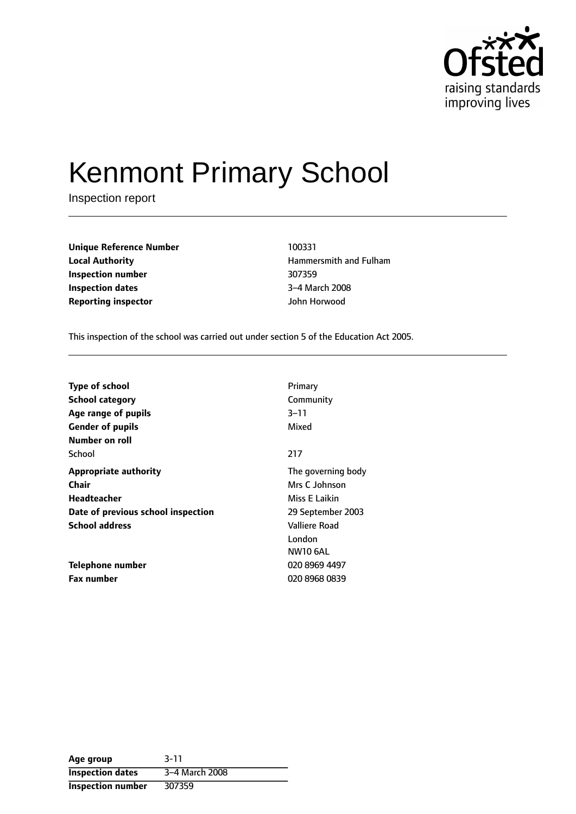

# Kenmont Primary School

Inspection report

| <b>Unique Reference Number</b> | 100331        |
|--------------------------------|---------------|
| <b>Local Authority</b>         | Hammersmith a |
| Inspection number              | 307359        |
| <b>Inspection dates</b>        | 3-4 March 200 |
| <b>Reporting inspector</b>     | John Horwood  |

**Local Authority** Hammersmith and Fulham **3-4 March 2008** 

This inspection of the school was carried out under section 5 of the Education Act 2005.

| Type of school                     | Primary            |
|------------------------------------|--------------------|
| <b>School category</b>             | Community          |
| Age range of pupils                | $3 - 11$           |
| <b>Gender of pupils</b>            | Mixed              |
| Number on roll                     |                    |
| School                             | 217                |
| <b>Appropriate authority</b>       | The governing body |
| Chair                              | Mrs C Johnson      |
| Headteacher                        | Miss E Laikin      |
| Date of previous school inspection | 29 September 2003  |
| <b>School address</b>              | Valliere Road      |
|                                    | London             |
|                                    | <b>NW10 6AL</b>    |
| <b>Telephone number</b>            | 020 8969 4497      |
| <b>Fax number</b>                  | 020 8968 0839      |

| Age group                | $3 - 11$       |
|--------------------------|----------------|
| <b>Inspection dates</b>  | 3-4 March 2008 |
| <b>Inspection number</b> | 307359         |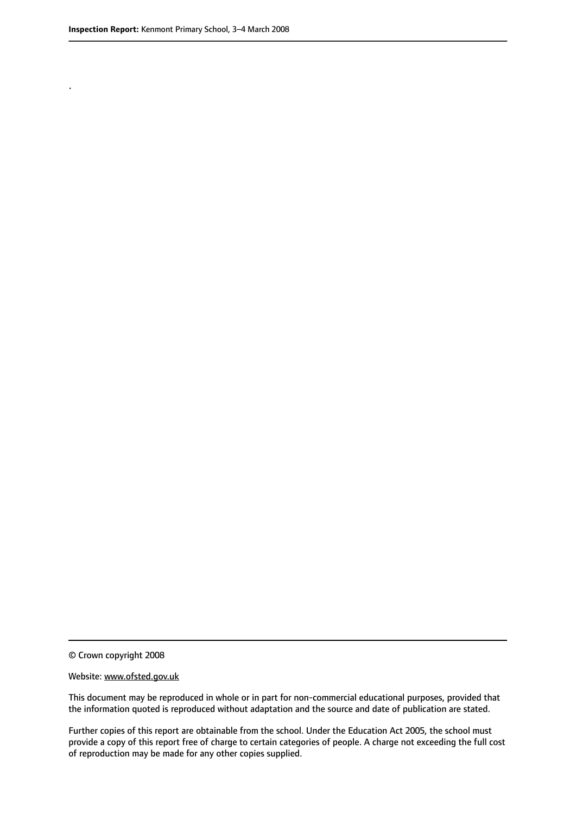.

© Crown copyright 2008

#### Website: www.ofsted.gov.uk

This document may be reproduced in whole or in part for non-commercial educational purposes, provided that the information quoted is reproduced without adaptation and the source and date of publication are stated.

Further copies of this report are obtainable from the school. Under the Education Act 2005, the school must provide a copy of this report free of charge to certain categories of people. A charge not exceeding the full cost of reproduction may be made for any other copies supplied.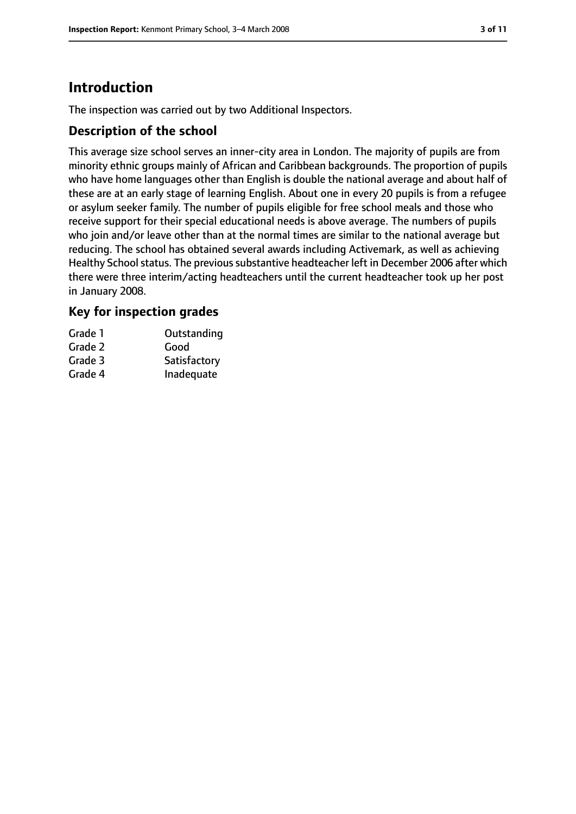# **Introduction**

The inspection was carried out by two Additional Inspectors.

## **Description of the school**

This average size school serves an inner-city area in London. The majority of pupils are from minority ethnic groups mainly of African and Caribbean backgrounds. The proportion of pupils who have home languages other than English is double the national average and about half of these are at an early stage of learning English. About one in every 20 pupils is from a refugee or asylum seeker family. The number of pupils eligible for free school meals and those who receive support for their special educational needs is above average. The numbers of pupils who join and/or leave other than at the normal times are similar to the national average but reducing. The school has obtained several awards including Activemark, as well as achieving Healthy School status. The previous substantive headteacher left in December 2006 after which there were three interim/acting headteachers until the current headteacher took up her post in January 2008.

## **Key for inspection grades**

| Grade 1 | Outstanding  |
|---------|--------------|
| Grade 2 | Good         |
| Grade 3 | Satisfactory |
| Grade 4 | Inadequate   |
|         |              |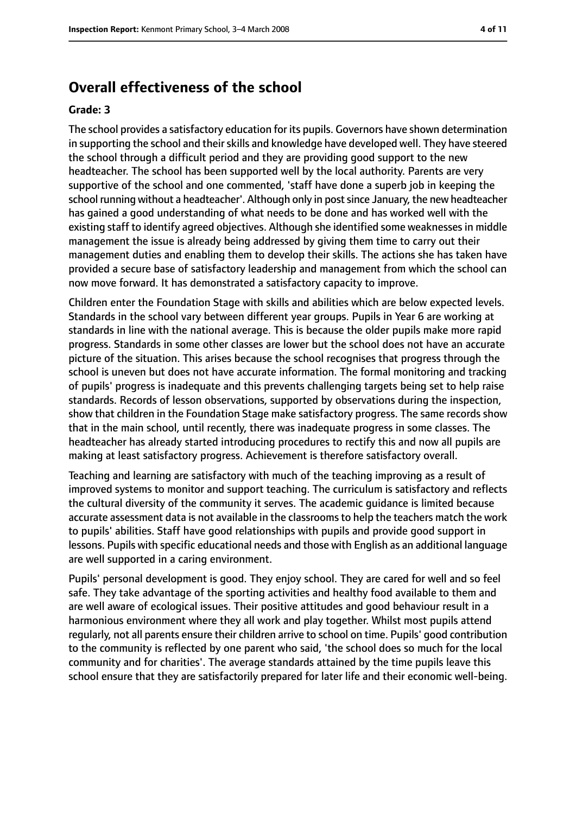# **Overall effectiveness of the school**

#### **Grade: 3**

The school provides a satisfactory education for its pupils. Governors have shown determination in supporting the school and their skills and knowledge have developed well. They have steered the school through a difficult period and they are providing good support to the new headteacher. The school has been supported well by the local authority. Parents are very supportive of the school and one commented, 'staff have done a superb job in keeping the school running without a headteacher'. Although only in postsince January, the new headteacher has gained a good understanding of what needs to be done and has worked well with the existing staff to identify agreed objectives. Although she identified some weaknessesin middle management the issue is already being addressed by giving them time to carry out their management duties and enabling them to develop their skills. The actions she has taken have provided a secure base of satisfactory leadership and management from which the school can now move forward. It has demonstrated a satisfactory capacity to improve.

Children enter the Foundation Stage with skills and abilities which are below expected levels. Standards in the school vary between different year groups. Pupils in Year 6 are working at standards in line with the national average. This is because the older pupils make more rapid progress. Standards in some other classes are lower but the school does not have an accurate picture of the situation. This arises because the school recognises that progress through the school is uneven but does not have accurate information. The formal monitoring and tracking of pupils' progress is inadequate and this prevents challenging targets being set to help raise standards. Records of lesson observations, supported by observations during the inspection, show that children in the Foundation Stage make satisfactory progress. The same records show that in the main school, until recently, there was inadequate progress in some classes. The headteacher has already started introducing procedures to rectify this and now all pupils are making at least satisfactory progress. Achievement is therefore satisfactory overall.

Teaching and learning are satisfactory with much of the teaching improving as a result of improved systems to monitor and support teaching. The curriculum is satisfactory and reflects the cultural diversity of the community it serves. The academic guidance is limited because accurate assessment data is not available in the classroomsto help the teachers match the work to pupils' abilities. Staff have good relationships with pupils and provide good support in lessons. Pupils with specific educational needs and those with English as an additional language are well supported in a caring environment.

Pupils' personal development is good. They enjoy school. They are cared for well and so feel safe. They take advantage of the sporting activities and healthy food available to them and are well aware of ecological issues. Their positive attitudes and good behaviour result in a harmonious environment where they all work and play together. Whilst most pupils attend regularly, not all parents ensure their children arrive to school on time. Pupils' good contribution to the community is reflected by one parent who said, 'the school does so much for the local community and for charities'. The average standards attained by the time pupils leave this school ensure that they are satisfactorily prepared for later life and their economic well-being.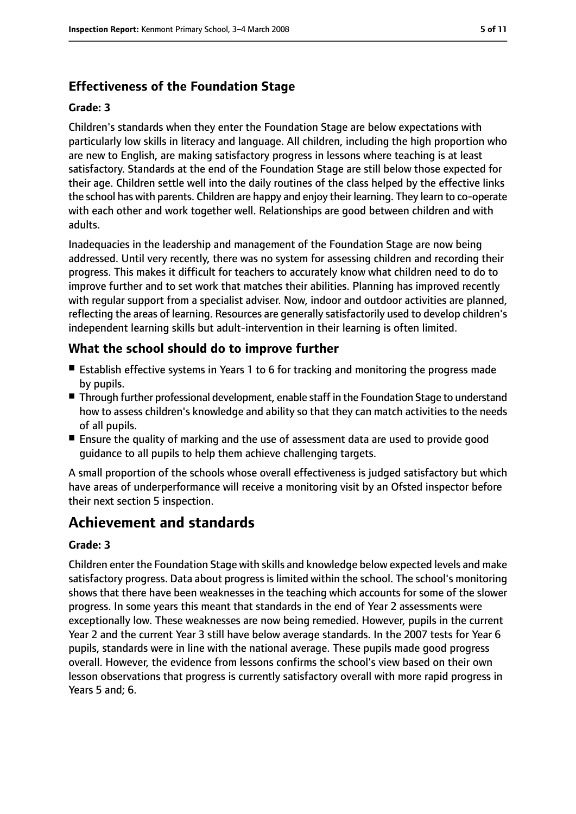# **Effectiveness of the Foundation Stage**

#### **Grade: 3**

Children's standards when they enter the Foundation Stage are below expectations with particularly low skills in literacy and language. All children, including the high proportion who are new to English, are making satisfactory progress in lessons where teaching is at least satisfactory. Standards at the end of the Foundation Stage are still below those expected for their age. Children settle well into the daily routines of the class helped by the effective links the school has with parents. Children are happy and enjoy their learning. They learn to co-operate with each other and work together well. Relationships are good between children and with adults.

Inadequacies in the leadership and management of the Foundation Stage are now being addressed. Until very recently, there was no system for assessing children and recording their progress. This makes it difficult for teachers to accurately know what children need to do to improve further and to set work that matches their abilities. Planning has improved recently with regular support from a specialist adviser. Now, indoor and outdoor activities are planned, reflecting the areas of learning. Resources are generally satisfactorily used to develop children's independent learning skills but adult-intervention in their learning is often limited.

# **What the school should do to improve further**

- Establish effective systems in Years 1 to 6 for tracking and monitoring the progress made by pupils.
- Through further professional development, enable staff in the Foundation Stage to understand how to assess children's knowledge and ability so that they can match activities to the needs of all pupils.
- Ensure the quality of marking and the use of assessment data are used to provide good guidance to all pupils to help them achieve challenging targets.

A small proportion of the schools whose overall effectiveness is judged satisfactory but which have areas of underperformance will receive a monitoring visit by an Ofsted inspector before their next section 5 inspection.

# **Achievement and standards**

#### **Grade: 3**

Children enter the Foundation Stage with skills and knowledge below expected levels and make satisfactory progress. Data about progress is limited within the school. The school's monitoring shows that there have been weaknesses in the teaching which accounts for some of the slower progress. In some years this meant that standards in the end of Year 2 assessments were exceptionally low. These weaknesses are now being remedied. However, pupils in the current Year 2 and the current Year 3 still have below average standards. In the 2007 tests for Year 6 pupils, standards were in line with the national average. These pupils made good progress overall. However, the evidence from lessons confirms the school's view based on their own lesson observations that progress is currently satisfactory overall with more rapid progress in Years 5 and; 6.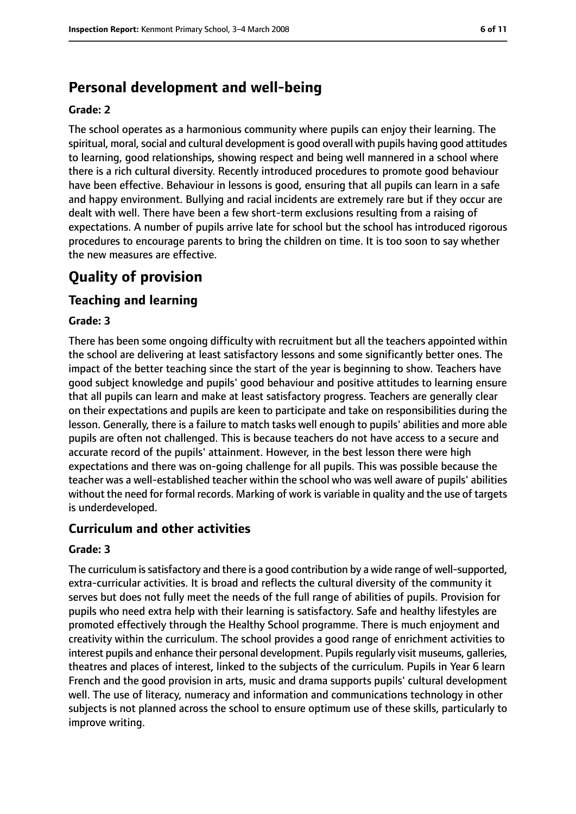# **Personal development and well-being**

#### **Grade: 2**

The school operates as a harmonious community where pupils can enjoy their learning. The spiritual, moral, social and cultural development is good overall with pupils having good attitudes to learning, good relationships, showing respect and being well mannered in a school where there is a rich cultural diversity. Recently introduced procedures to promote good behaviour have been effective. Behaviour in lessons is good, ensuring that all pupils can learn in a safe and happy environment. Bullying and racial incidents are extremely rare but if they occur are dealt with well. There have been a few short-term exclusions resulting from a raising of expectations. A number of pupils arrive late for school but the school has introduced rigorous procedures to encourage parents to bring the children on time. It is too soon to say whether the new measures are effective.

# **Quality of provision**

## **Teaching and learning**

#### **Grade: 3**

There has been some ongoing difficulty with recruitment but all the teachers appointed within the school are delivering at least satisfactory lessons and some significantly better ones. The impact of the better teaching since the start of the year is beginning to show. Teachers have good subject knowledge and pupils' good behaviour and positive attitudes to learning ensure that all pupils can learn and make at least satisfactory progress. Teachers are generally clear on their expectations and pupils are keen to participate and take on responsibilities during the lesson. Generally, there is a failure to match tasks well enough to pupils' abilities and more able pupils are often not challenged. This is because teachers do not have access to a secure and accurate record of the pupils' attainment. However, in the best lesson there were high expectations and there was on-going challenge for all pupils. This was possible because the teacher was a well-established teacher within the school who was well aware of pupils' abilities without the need for formal records. Marking of work is variable in quality and the use of targets is underdeveloped.

## **Curriculum and other activities**

#### **Grade: 3**

The curriculum is satisfactory and there is a good contribution by a wide range of well-supported, extra-curricular activities. It is broad and reflects the cultural diversity of the community it serves but does not fully meet the needs of the full range of abilities of pupils. Provision for pupils who need extra help with their learning is satisfactory. Safe and healthy lifestyles are promoted effectively through the Healthy School programme. There is much enjoyment and creativity within the curriculum. The school provides a good range of enrichment activities to interest pupils and enhance their personal development. Pupils regularly visit museums, galleries, theatres and places of interest, linked to the subjects of the curriculum. Pupils in Year 6 learn French and the good provision in arts, music and drama supports pupils' cultural development well. The use of literacy, numeracy and information and communications technology in other subjects is not planned across the school to ensure optimum use of these skills, particularly to improve writing.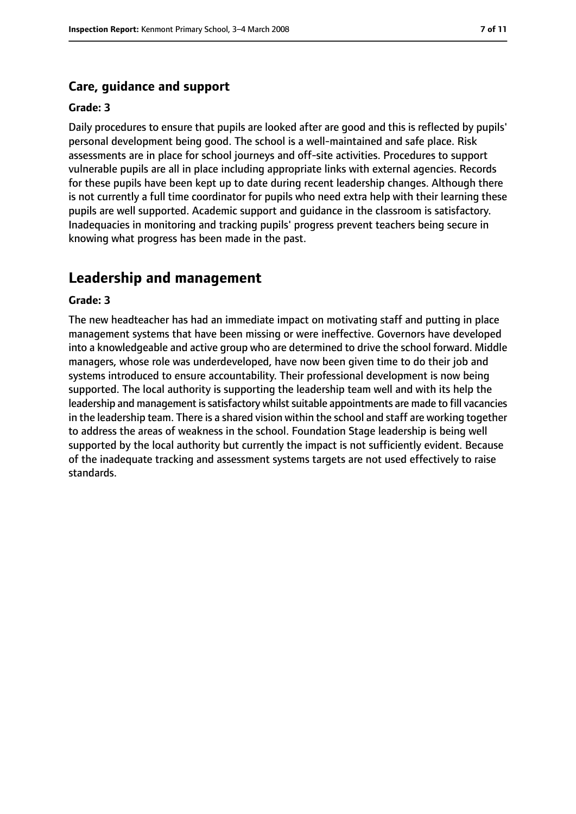#### **Care, guidance and support**

#### **Grade: 3**

Daily procedures to ensure that pupils are looked after are good and this is reflected by pupils' personal development being good. The school is a well-maintained and safe place. Risk assessments are in place for school journeys and off-site activities. Procedures to support vulnerable pupils are all in place including appropriate links with external agencies. Records for these pupils have been kept up to date during recent leadership changes. Although there is not currently a full time coordinator for pupils who need extra help with their learning these pupils are well supported. Academic support and guidance in the classroom is satisfactory. Inadequacies in monitoring and tracking pupils' progress prevent teachers being secure in knowing what progress has been made in the past.

### **Leadership and management**

#### **Grade: 3**

The new headteacher has had an immediate impact on motivating staff and putting in place management systems that have been missing or were ineffective. Governors have developed into a knowledgeable and active group who are determined to drive the school forward. Middle managers, whose role was underdeveloped, have now been given time to do their job and systems introduced to ensure accountability. Their professional development is now being supported. The local authority is supporting the leadership team well and with its help the leadership and management is satisfactory whilst suitable appointments are made to fill vacancies in the leadership team. There is a shared vision within the school and staff are working together to address the areas of weakness in the school. Foundation Stage leadership is being well supported by the local authority but currently the impact is not sufficiently evident. Because of the inadequate tracking and assessment systems targets are not used effectively to raise standards.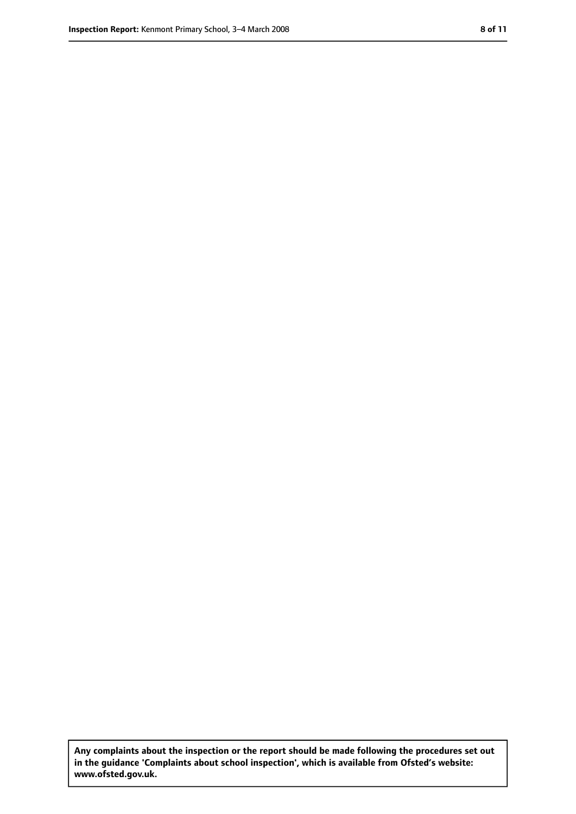**Any complaints about the inspection or the report should be made following the procedures set out in the guidance 'Complaints about school inspection', which is available from Ofsted's website: www.ofsted.gov.uk.**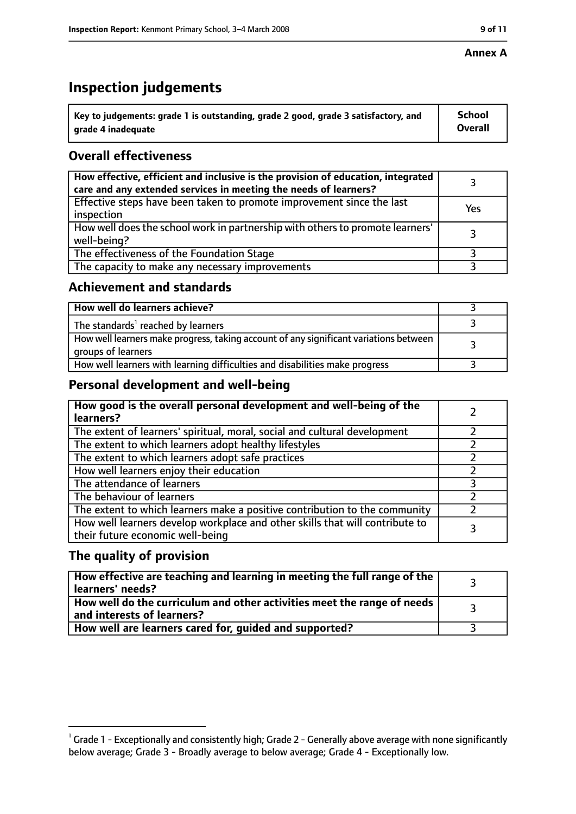#### **Annex A**

# **Inspection judgements**

| $^{\backprime}$ Key to judgements: grade 1 is outstanding, grade 2 good, grade 3 satisfactory, and | <b>School</b>  |
|----------------------------------------------------------------------------------------------------|----------------|
| arade 4 inadequate                                                                                 | <b>Overall</b> |

# **Overall effectiveness**

| How effective, efficient and inclusive is the provision of education, integrated<br>care and any extended services in meeting the needs of learners? |     |
|------------------------------------------------------------------------------------------------------------------------------------------------------|-----|
| Effective steps have been taken to promote improvement since the last<br>inspection                                                                  | Yes |
| How well does the school work in partnership with others to promote learners'<br>well-being?                                                         |     |
| The effectiveness of the Foundation Stage                                                                                                            |     |
| The capacity to make any necessary improvements                                                                                                      |     |

## **Achievement and standards**

| How well do learners achieve?                                                                               |  |
|-------------------------------------------------------------------------------------------------------------|--|
| The standards <sup>1</sup> reached by learners                                                              |  |
| How well learners make progress, taking account of any significant variations between<br>groups of learners |  |
| How well learners with learning difficulties and disabilities make progress                                 |  |

# **Personal development and well-being**

| How good is the overall personal development and well-being of the<br>learners?                                  |  |
|------------------------------------------------------------------------------------------------------------------|--|
| The extent of learners' spiritual, moral, social and cultural development                                        |  |
| The extent to which learners adopt healthy lifestyles                                                            |  |
| The extent to which learners adopt safe practices                                                                |  |
| How well learners enjoy their education                                                                          |  |
| The attendance of learners                                                                                       |  |
| The behaviour of learners                                                                                        |  |
| The extent to which learners make a positive contribution to the community                                       |  |
| How well learners develop workplace and other skills that will contribute to<br>their future economic well-being |  |

# **The quality of provision**

| How effective are teaching and learning in meeting the full range of the<br>learners' needs?          |  |
|-------------------------------------------------------------------------------------------------------|--|
| How well do the curriculum and other activities meet the range of needs<br>and interests of learners? |  |
| How well are learners cared for, guided and supported?                                                |  |

 $^1$  Grade 1 - Exceptionally and consistently high; Grade 2 - Generally above average with none significantly below average; Grade 3 - Broadly average to below average; Grade 4 - Exceptionally low.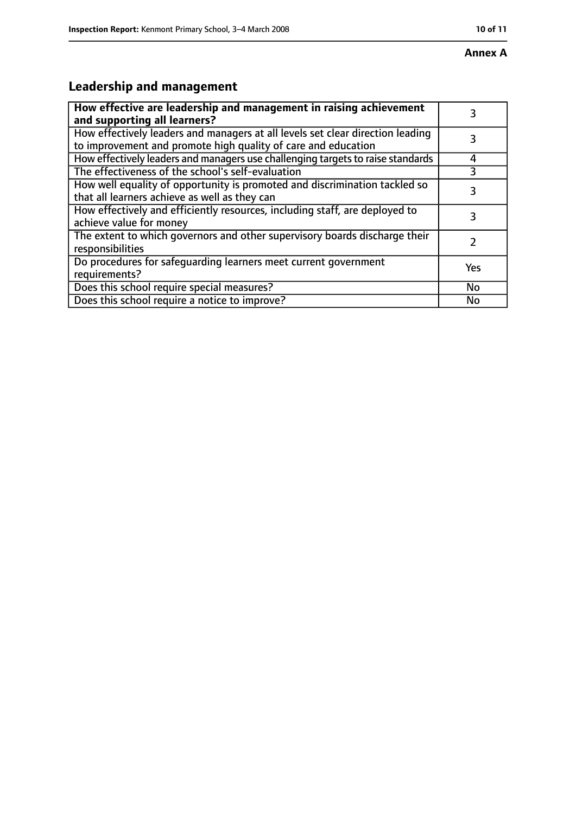# **Leadership and management**

| How effective are leadership and management in raising achievement<br>and supporting all learners?                                              |     |
|-------------------------------------------------------------------------------------------------------------------------------------------------|-----|
| How effectively leaders and managers at all levels set clear direction leading<br>to improvement and promote high quality of care and education |     |
| How effectively leaders and managers use challenging targets to raise standards                                                                 |     |
| The effectiveness of the school's self-evaluation                                                                                               | 3   |
| How well equality of opportunity is promoted and discrimination tackled so<br>that all learners achieve as well as they can                     | 3   |
| How effectively and efficiently resources, including staff, are deployed to<br>achieve value for money                                          | 3   |
| The extent to which governors and other supervisory boards discharge their<br>responsibilities                                                  |     |
| Do procedures for safequarding learners meet current government<br>requirements?                                                                | Yes |
| Does this school require special measures?                                                                                                      | No  |
| Does this school require a notice to improve?                                                                                                   | No  |